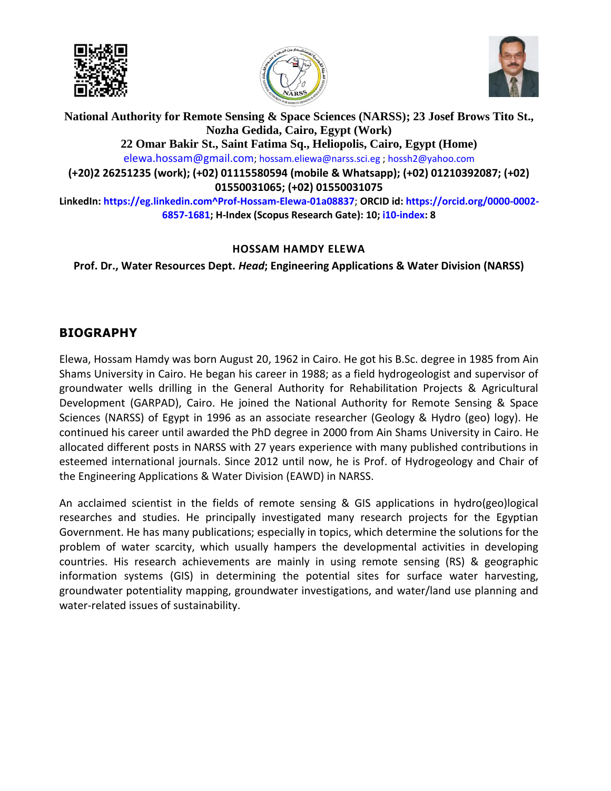





**National Authority for Remote Sensing & Space Sciences (NARSS); 23 Josef Brows Tito St., Nozha Gedida, Cairo, Egypt (Work) 22 Omar Bakir St., Saint Fatima Sq., Heliopolis, Cairo, Egypt (Home)**  [elewa.hossam@gmail.com](mailto:elewa.hossam@gmail.com)[; hossam.eliewa@narss.sci.eg](mailto:hossam.eliewa@narss.sci.eg) [; hossh2@yahoo.com](mailto:hossh2@yahoo.com) **(+20)2 26251235 (work); (+02) 01115580594 (mobile & Whatsapp); (+02) 01210392087; (+02) 01550031065; (+02) 01550031075 LinkedIn: https://eg.linkedin.com^Prof-Hossam-Elewa-01a08837**; **ORCID id[: https://orcid.org/0000-0002-](https://orcid.org/0000-0002-6857-1681) [6857-1681;](https://orcid.org/0000-0002-6857-1681) H-Index (Scopus Research Gate): 10[; i10-index:](javascript:void(0)) 8**

#### **HOSSAM HAMDY ELEWA**

**Prof. Dr., Water Resources Dept.** *Head***; Engineering Applications & Water Division (NARSS)**

# **BIOGRAPHY**

Elewa, Hossam Hamdy was born August 20, 1962 in Cairo. He got his B.Sc. degree in 1985 from Ain Shams University in Cairo. He began his career in 1988; as a field hydrogeologist and supervisor of groundwater wells drilling in the General Authority for Rehabilitation Projects & Agricultural Development (GARPAD), Cairo. He joined the National Authority for Remote Sensing & Space Sciences (NARSS) of Egypt in 1996 as an associate researcher (Geology & Hydro (geo) logy). He continued his career until awarded the PhD degree in 2000 from Ain Shams University in Cairo. He allocated different posts in NARSS with 27 years experience with many published contributions in esteemed international journals. Since 2012 until now, he is Prof. of Hydrogeology and Chair of the Engineering Applications & Water Division (EAWD) in NARSS.

An acclaimed scientist in the fields of remote sensing & GIS applications in hydro(geo)logical researches and studies. He principally investigated many research projects for the Egyptian Government. He has many publications; especially in topics, which determine the solutions for the problem of water scarcity, which usually hampers the developmental activities in developing countries. His research achievements are mainly in using remote sensing (RS) & geographic information systems (GIS) in determining the potential sites for surface water harvesting, groundwater potentiality mapping, groundwater investigations, and water/land use planning and water-related issues of sustainability.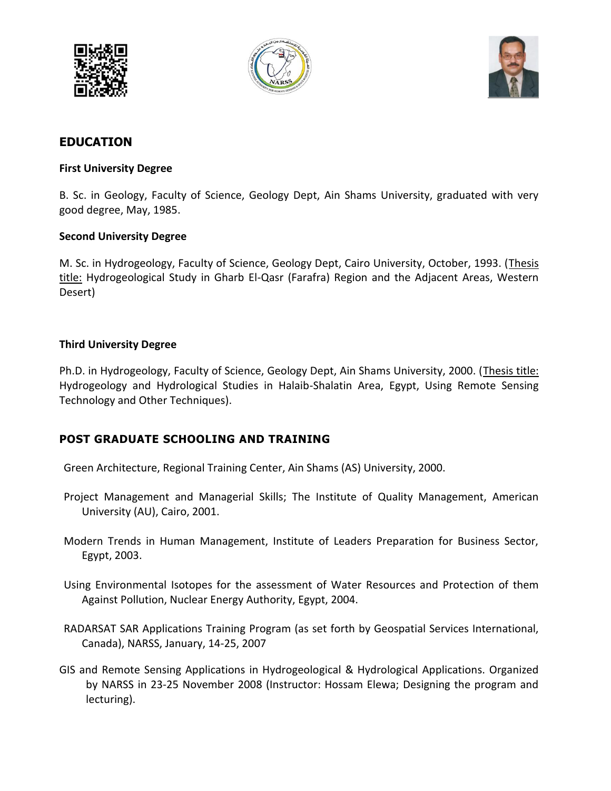





## **EDUCATION**

#### **First University Degree**

B. Sc. in Geology, Faculty of Science, Geology Dept, Ain Shams University, graduated with very good degree, May, 1985.

#### **Second University Degree**

M. Sc. in Hydrogeology, Faculty of Science, Geology Dept, Cairo University, October, 1993. (Thesis title: Hydrogeological Study in Gharb El-Qasr (Farafra) Region and the Adjacent Areas, Western Desert)

#### **Third University Degree**

Ph.D. in Hydrogeology, Faculty of Science, Geology Dept, Ain Shams University, 2000. (Thesis title: Hydrogeology and Hydrological Studies in Halaib-Shalatin Area, Egypt, Using Remote Sensing Technology and Other Techniques).

#### **POST GRADUATE SCHOOLING AND TRAINING**

Green Architecture, Regional Training Center, Ain Shams (AS) University, 2000.

- Project Management and Managerial Skills; The Institute of Quality Management, American University (AU), Cairo, 2001.
- Modern Trends in Human Management, Institute of Leaders Preparation for Business Sector, Egypt, 2003.
- Using Environmental Isotopes for the assessment of Water Resources and Protection of them Against Pollution, Nuclear Energy Authority, Egypt, 2004.
- RADARSAT SAR Applications Training Program (as set forth by Geospatial Services International, Canada), NARSS, January, 14-25, 2007
- GIS and Remote Sensing Applications in Hydrogeological & Hydrological Applications. Organized by NARSS in 23-25 November 2008 (Instructor: Hossam Elewa; Designing the program and lecturing).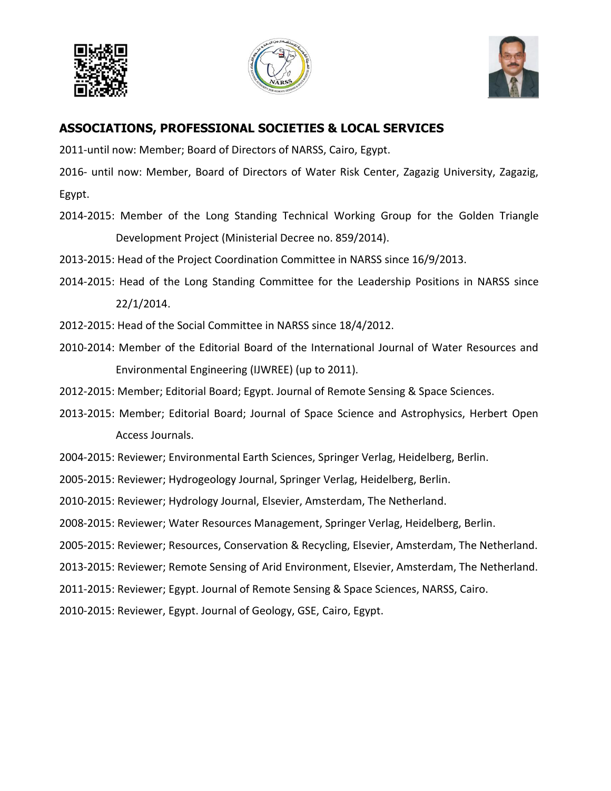





## **ASSOCIATIONS, PROFESSIONAL SOCIETIES & LOCAL SERVICES**

2011-until now: Member; Board of Directors of NARSS, Cairo, Egypt.

2016- until now: Member, Board of Directors of Water Risk Center, Zagazig University, Zagazig, Egypt.

2014-2015: Member of the Long Standing Technical Working Group for the Golden Triangle Development Project (Ministerial Decree no. 859/2014).

2013-2015: Head of the Project Coordination Committee in NARSS since 16/9/2013.

- 2014-2015: Head of the Long Standing Committee for the Leadership Positions in NARSS since 22/1/2014.
- 2012-2015: Head of the Social Committee in NARSS since 18/4/2012.
- 2010-2014: Member of the Editorial Board of the International Journal of Water Resources and Environmental Engineering (IJWREE) (up to 2011).

2012-2015: Member; Editorial Board; Egypt. Journal of Remote Sensing & Space Sciences.

2013-2015: Member; Editorial Board; Journal of Space Science and Astrophysics, Herbert Open Access Journals.

2004-2015: Reviewer; Environmental Earth Sciences, Springer Verlag, Heidelberg, Berlin.

2005-2015: Reviewer; Hydrogeology Journal, Springer Verlag, Heidelberg, Berlin.

2010-2015: Reviewer; Hydrology Journal, Elsevier, Amsterdam, The Netherland.

2008-2015: Reviewer; Water Resources Management, Springer Verlag, Heidelberg, Berlin.

2005-2015: Reviewer; Resources, Conservation & Recycling, Elsevier, Amsterdam, The Netherland.

2013-2015: Reviewer; Remote Sensing of Arid Environment, Elsevier, Amsterdam, The Netherland.

2011-2015: Reviewer; Egypt. Journal of Remote Sensing & Space Sciences, NARSS, Cairo.

2010-2015: Reviewer, Egypt. Journal of Geology, GSE, Cairo, Egypt.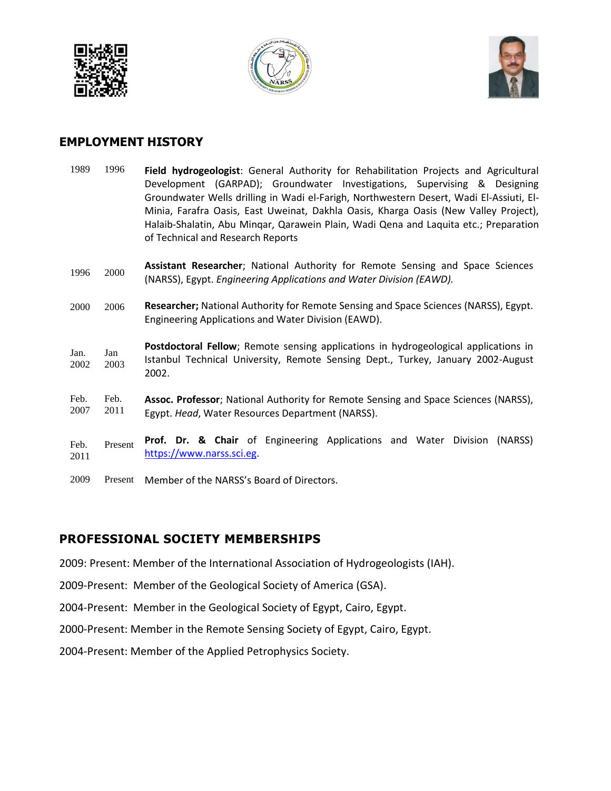





### **EMPLOYMENT HISTORY**

| 1989         | 1996         | Field hydrogeologist: General Authority for Rehabilitation Projects and Agricultural<br>Development (GARPAD); Groundwater Investigations, Supervising & Designing<br>Groundwater Wells drilling in Wadi el-Farigh, Northwestern Desert, Wadi El-Assiuti, El-<br>Minia, Farafra Oasis, East Uweinat, Dakhla Oasis, Kharga Oasis (New Valley Project),<br>Halaib-Shalatin, Abu Mingar, Qarawein Plain, Wadi Qena and Laquita etc.; Preparation<br>of Technical and Research Reports |
|--------------|--------------|-----------------------------------------------------------------------------------------------------------------------------------------------------------------------------------------------------------------------------------------------------------------------------------------------------------------------------------------------------------------------------------------------------------------------------------------------------------------------------------|
| 1996         | 2000         | Assistant Researcher; National Authority for Remote Sensing and Space Sciences<br>(NARSS), Egypt. Engineering Applications and Water Division (EAWD).                                                                                                                                                                                                                                                                                                                             |
| 2000         | 2006         | Researcher; National Authority for Remote Sensing and Space Sciences (NARSS), Egypt.<br>Engineering Applications and Water Division (EAWD).                                                                                                                                                                                                                                                                                                                                       |
| Jan.<br>2002 | Jan<br>2003  | Postdoctoral Fellow; Remote sensing applications in hydrogeological applications in<br>Istanbul Technical University, Remote Sensing Dept., Turkey, January 2002-August<br>2002.                                                                                                                                                                                                                                                                                                  |
| Feb.<br>2007 | Feb.<br>2011 | Assoc. Professor; National Authority for Remote Sensing and Space Sciences (NARSS),<br>Egypt. Head, Water Resources Department (NARSS).                                                                                                                                                                                                                                                                                                                                           |
| Feb.<br>2011 | Present      | Prof. Dr. & Chair of Engineering Applications and Water Division<br>(NARSS)<br>https://www.narss.sci.eg.                                                                                                                                                                                                                                                                                                                                                                          |

2009 Present Member of the NARSS's Board of Directors.

#### **PROFESSIONAL SOCIETY MEMBERSHIPS**

2009: Present: Member of the International Association of Hydrogeologists (IAH).

2009-Present: Member of the Geological Society of America (GSA).

2004-Present: Member in the Geological Society of Egypt, Cairo, Egypt.

2000-Present: Member in the Remote Sensing Society of Egypt, Cairo, Egypt.

2004-Present: Member of the Applied Petrophysics Society.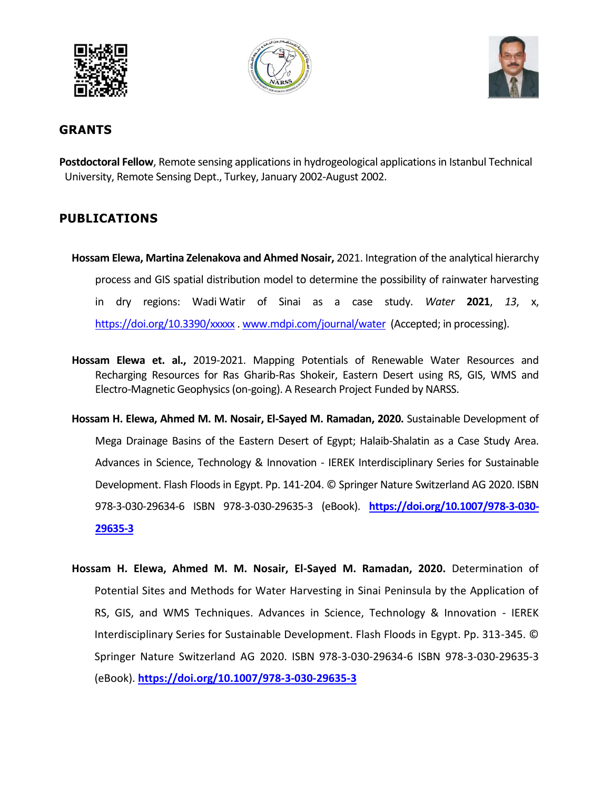





### **GRANTS**

**Postdoctoral Fellow**, Remote sensing applications in hydrogeological applications in Istanbul Technical University, Remote Sensing Dept., Turkey, January 2002-August 2002.

## **PUBLICATIONS**

- **Hossam Elewa, Martina Zelenakova and Ahmed Nosair,** 2021. Integration of the analytical hierarchy process and GIS spatial distribution model to determine the possibility of rainwater harvesting in dry regions: Wadi Watir of Sinai as a case study. *Water* **2021**, *13*, x, <https://doi.org/10.3390/xxxxx> . [www.mdpi.com/journal/water](http://www.mdpi.com/journal/water) (Accepted; in processing).
- **Hossam Elewa et. al.,** 2019-2021. Mapping Potentials of Renewable Water Resources and Recharging Resources for Ras Gharib-Ras Shokeir, Eastern Desert using RS, GIS, WMS and Electro-Magnetic Geophysics (on-going). A Research Project Funded by NARSS.
- **Hossam H. Elewa, Ahmed M. M. Nosair, El-Sayed M. Ramadan, 2020.** Sustainable Development of Mega Drainage Basins of the Eastern Desert of Egypt; Halaib-Shalatin as a Case Study Area. Advances in Science, Technology & Innovation - IEREK Interdisciplinary Series for Sustainable Development. Flash Floods in Egypt. Pp. 141-204. © Springer Nature Switzerland AG 2020. ISBN 978-3-030-29634-6 ISBN 978-3-030-29635-3 (eBook). **[https://doi.org/10.1007/978-3-030-](https://doi.org/10.1007/978-3-030-29635-3) [29635-3](https://doi.org/10.1007/978-3-030-29635-3)**
- **Hossam H. Elewa, Ahmed M. M. Nosair, El-Sayed M. Ramadan, 2020.** Determination of Potential Sites and Methods for Water Harvesting in Sinai Peninsula by the Application of RS, GIS, and WMS Techniques. Advances in Science, Technology & Innovation - IEREK Interdisciplinary Series for Sustainable Development. Flash Floods in Egypt. Pp. 313-345. © Springer Nature Switzerland AG 2020. ISBN 978-3-030-29634-6 ISBN 978-3-030-29635-3 (eBook). **<https://doi.org/10.1007/978-3-030-29635-3>**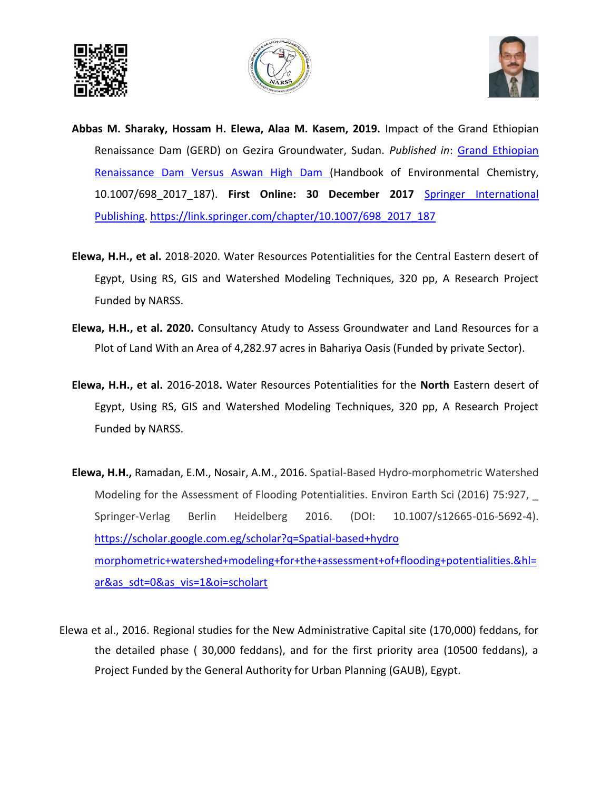





- **Abbas M. Sharaky, Hossam H. Elewa, Alaa M. Kasem, 2019.** Impact of the Grand Ethiopian Renaissance Dam (GERD) on Gezira Groundwater, Sudan. *Published in*: [Grand Ethiopian](https://www.springerprofessional.de/en/grand-ethiopian-renaissance-dam-versus-aswan-high-dam/16217514)  [Renaissance Dam Versus Aswan High Dam \(](https://www.springerprofessional.de/en/grand-ethiopian-renaissance-dam-versus-aswan-high-dam/16217514)Handbook of Environmental Chemistry, 10.1007/698\_2017\_187). **First Online: 30 December 2017** [Springer International](http://www.springer.com/)  [Publishing.](http://www.springer.com/) [https://link.springer.com/chapter/10.1007/698\\_2017\\_187](https://link.springer.com/chapter/10.1007/698_2017_187)
- **Elewa, H.H., et al.** 2018-2020. Water Resources Potentialities for the Central Eastern desert of Egypt, Using RS, GIS and Watershed Modeling Techniques, 320 pp, A Research Project Funded by NARSS.
- **Elewa, H.H., et al. 2020.** Consultancy Atudy to Assess Groundwater and Land Resources for a Plot of Land With an Area of 4,282.97 acres in Bahariya Oasis (Funded by private Sector).
- **Elewa, H.H., et al.** 2016-2018**.** Water Resources Potentialities for the **North** Eastern desert of Egypt, Using RS, GIS and Watershed Modeling Techniques, 320 pp, A Research Project Funded by NARSS.
- **Elewa, H.H.,** Ramadan, E.M., Nosair, A.M., 2016. Spatial-Based Hydro-morphometric Watershed Modeling for the Assessment of Flooding Potentialities. Environ Earth Sci (2016) 75:927, Springer-Verlag Berlin Heidelberg 2016. (DOI: 10.1007/s12665-016-5692-4). [https://scholar.google.com.eg/scholar?q=Spatial-based+hydro](https://scholar.google.com.eg/scholar?q=Spatial-based+hydro%20morphometric+watershed+modeling+for+the+assessment+of+flooding+potentialities.&hl=ar&as_sdt=0&as_vis=1&oi=scholart)  [morphometric+watershed+modeling+for+the+assessment+of+flooding+potentialities.&hl=](https://scholar.google.com.eg/scholar?q=Spatial-based+hydro%20morphometric+watershed+modeling+for+the+assessment+of+flooding+potentialities.&hl=ar&as_sdt=0&as_vis=1&oi=scholart) [ar&as\\_sdt=0&as\\_vis=1&oi=scholart](https://scholar.google.com.eg/scholar?q=Spatial-based+hydro%20morphometric+watershed+modeling+for+the+assessment+of+flooding+potentialities.&hl=ar&as_sdt=0&as_vis=1&oi=scholart)
- Elewa et al., 2016. Regional studies for the New Administrative Capital site (170,000) feddans, for the detailed phase ( 30,000 feddans), and for the first priority area (10500 feddans), a Project Funded by the General Authority for Urban Planning (GAUB), Egypt.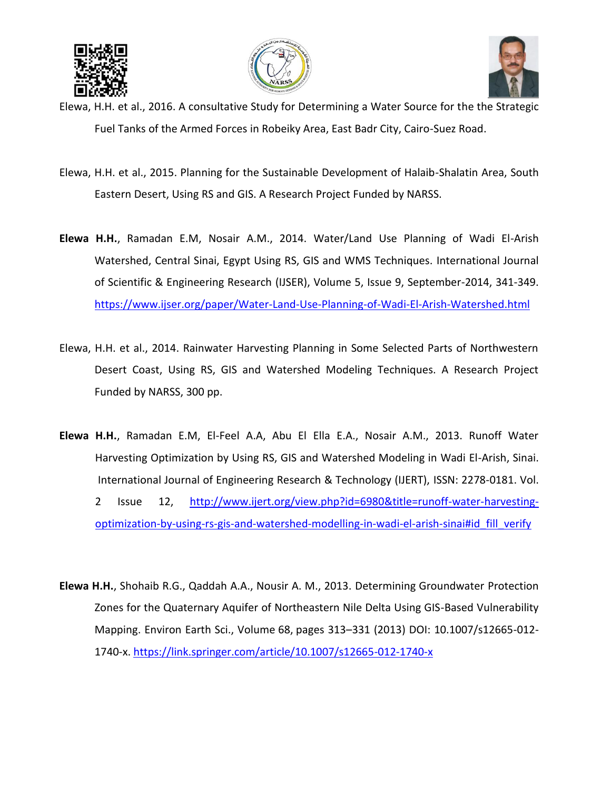





- Elewa, H.H. et al., 2016. A consultative Study for Determining a Water Source for the the Strategic Fuel Tanks of the Armed Forces in Robeiky Area, East Badr City, Cairo-Suez Road.
- Elewa, H.H. et al., 2015. Planning for the Sustainable Development of Halaib-Shalatin Area, South Eastern Desert, Using RS and GIS. A Research Project Funded by NARSS.
- **Elewa H.H.**, Ramadan E.M, Nosair A.M., 2014. Water/Land Use Planning of Wadi El-Arish Watershed, Central Sinai, Egypt Using RS, GIS and WMS Techniques. International Journal of Scientific & Engineering Research (IJSER), Volume 5, Issue 9, September-2014, 341-349. <https://www.ijser.org/paper/Water-Land-Use-Planning-of-Wadi-El-Arish-Watershed.html>
- Elewa, H.H. et al., 2014. Rainwater Harvesting Planning in Some Selected Parts of Northwestern Desert Coast, Using RS, GIS and Watershed Modeling Techniques. A Research Project Funded by NARSS, 300 pp.
- **Elewa H.H.**, Ramadan E.M, El-Feel A.A, Abu El Ella E.A., Nosair A.M., 2013. Runoff Water Harvesting Optimization by Using RS, GIS and Watershed Modeling in Wadi El-Arish, Sinai. International Journal of Engineering Research & Technology (IJERT), ISSN: 2278-0181. Vol. 2 Issue 12, [http://www.ijert.org/view.php?id=6980&title=runoff-water-harvesting](http://www.ijert.org/view.php?id=6980&title=runoff-water-harvesting-optimization-by-using-rs-gis-and-watershed-modelling-in-wadi-el-arish-sinai#id_fill_verify)[optimization-by-using-rs-gis-and-watershed-modelling-in-wadi-el-arish-sinai#id\\_fill\\_verify](http://www.ijert.org/view.php?id=6980&title=runoff-water-harvesting-optimization-by-using-rs-gis-and-watershed-modelling-in-wadi-el-arish-sinai#id_fill_verify)
- **Elewa H.H.**, Shohaib R.G., Qaddah A.A., Nousir A. M., 2013. [Determining Groundwater Protection](http://www.springerlink.com/content/e1m710p160755654/)  [Zones for the Quaternary Aquifer of Northeastern Nile Delta Using GIS-Based Vulnerability](http://www.springerlink.com/content/e1m710p160755654/)  [Mapping.](http://www.springerlink.com/content/e1m710p160755654/) Environ Earth Sci., Volume 68, pages 313–331 (2013) DOI: 10.1007/s12665-012- 1740-x.<https://link.springer.com/article/10.1007/s12665-012-1740-x>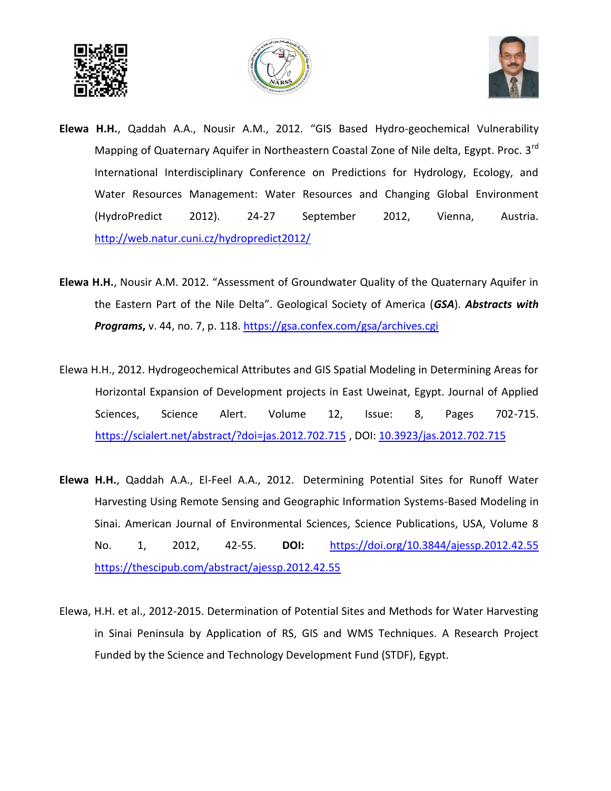





- **Elewa H.H.**, Qaddah A.A., Nousir A.M., 2012. "GIS Based Hydro-geochemical Vulnerability Mapping of Quaternary Aquifer in Northeastern Coastal Zone of Nile delta, Egypt. Proc. 3<sup>rd</sup> International Interdisciplinary Conference on Predictions for Hydrology, Ecology, and Water Resources Management: Water Resources and Changing Global Environment (HydroPredict 2012). 24-27 September 2012, Vienna, Austria. <http://web.natur.cuni.cz/hydropredict2012/>
- **Elewa H.H.**, Nousir A.M. 2012. "Assessment of Groundwater Quality of the Quaternary Aquifer in the Eastern Part of the Nile Delta". Geological Society of America (*GSA*). *Abstracts with Programs***,** v. 44, no. 7, p. 118.<https://gsa.confex.com/gsa/archives.cgi>
- Elewa H.H., 2012. Hydrogeochemical Attributes and GIS Spatial Modeling in Determining Areas for Horizontal Expansion of Development projects in East Uweinat, Egypt. Journal of Applied Sciences, Science Alert. Volume 12, Issue: 8, Pages 702-715. <https://scialert.net/abstract/?doi=jas.2012.702.715> , DOI[: 10.3923/jas.2012.702.715](https://dx.doi.org/10.3923/jas.2012.702.715)
- **Elewa H.H.**, Qaddah A.A., El-Feel A.A., 2012. Determining Potential Sites for Runoff Water Harvesting Using Remote Sensing and Geographic Information Systems-Based Modeling in Sinai. American Journal of Environmental Sciences, Science Publications, USA, Volume 8 No. 1, 2012, 42-55. **DOI:** <https://doi.org/10.3844/ajessp.2012.42.55> <https://thescipub.com/abstract/ajessp.2012.42.55>
- Elewa, H.H. et al., 2012-2015. Determination of Potential Sites and Methods for Water Harvesting in Sinai Peninsula by Application of RS, GIS and WMS Techniques. A Research Project Funded by the Science and Technology Development Fund (STDF), Egypt.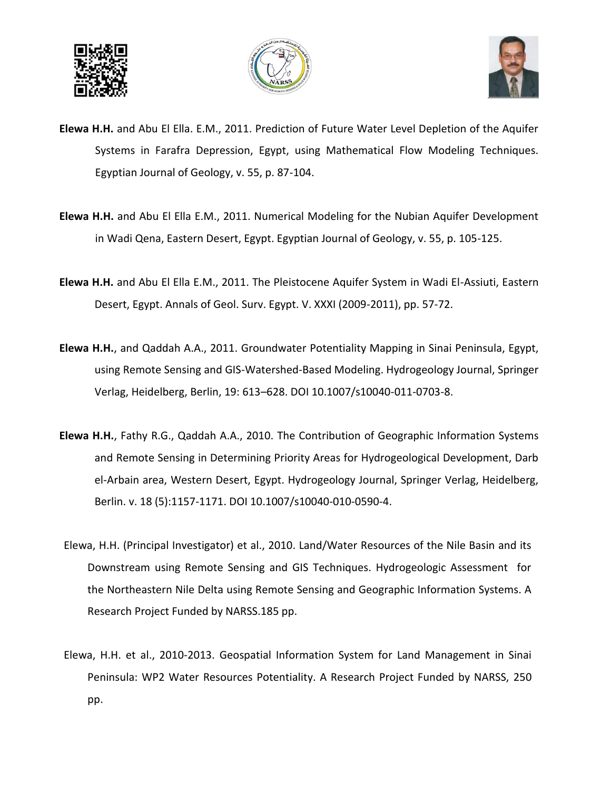





- **Elewa H.H.** and Abu El Ella. E.M., 2011. Prediction of Future Water Level Depletion of the Aquifer Systems in Farafra Depression, Egypt, using Mathematical Flow Modeling Techniques. Egyptian Journal of Geology, v. 55, p. 87-104.
- **Elewa H.H.** and Abu El Ella E.M., 2011. Numerical Modeling for the Nubian Aquifer Development in Wadi Qena, Eastern Desert, Egypt. Egyptian Journal of Geology, v. 55, p. 105-125.
- **Elewa H.H.** and Abu El Ella E.M., 2011. The Pleistocene Aquifer System in Wadi El-Assiuti, Eastern Desert, Egypt. Annals of Geol. Surv. Egypt. V. XXXI (2009-2011), pp. 57-72.
- **Elewa H.H.**, and Qaddah A.A., 2011. Groundwater Potentiality Mapping in Sinai Peninsula, Egypt, using Remote Sensing and GIS-Watershed-Based Modeling. Hydrogeology Journal, Springer Verlag, Heidelberg, Berlin, 19: 613–628. DOI 10.1007/s10040-011-0703-8.
- **Elewa H.H.**, Fathy R.G., Qaddah A.A., 2010. The Contribution of Geographic Information Systems and Remote Sensing in Determining Priority Areas for Hydrogeological Development, Darb el-Arbain area, Western Desert, Egypt. Hydrogeology Journal, Springer Verlag, Heidelberg, Berlin. v. 18 (5):1157-1171. DOI 10.1007/s10040-010-0590-4.
- Elewa, H.H. (Principal Investigator) et al., 2010. Land/Water Resources of the Nile Basin and its Downstream using Remote Sensing and GIS Techniques. Hydrogeologic Assessment for the Northeastern Nile Delta using Remote Sensing and Geographic Information Systems. A Research Project Funded by NARSS.185 pp.
- Elewa, H.H. et al., 2010-2013. Geospatial Information System for Land Management in Sinai Peninsula: WP2 Water Resources Potentiality. A Research Project Funded by NARSS, 250 pp.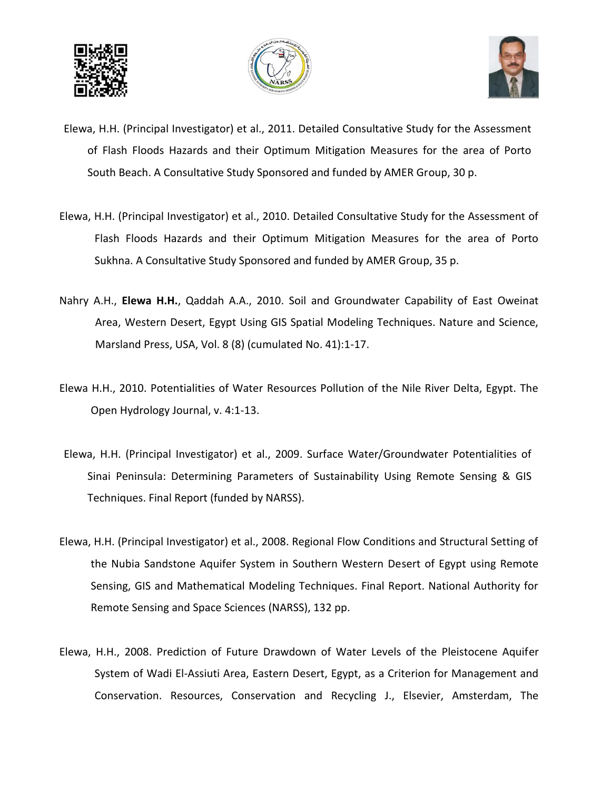





- Elewa, H.H. (Principal Investigator) et al., 2011. Detailed Consultative Study for the Assessment of Flash Floods Hazards and their Optimum Mitigation Measures for the area of Porto South Beach. A Consultative Study Sponsored and funded by AMER Group, 30 p.
- Elewa, H.H. (Principal Investigator) et al., 2010. Detailed Consultative Study for the Assessment of Flash Floods Hazards and their Optimum Mitigation Measures for the area of Porto Sukhna. A Consultative Study Sponsored and funded by AMER Group, 35 p.
- Nahry A.H., **Elewa H.H.**, Qaddah A.A., 2010. Soil and Groundwater Capability of East Oweinat Area, Western Desert, Egypt Using GIS Spatial Modeling Techniques. Nature and Science, Marsland Press, USA, Vol. 8 (8) (cumulated No. 41):1-17.
- Elewa H.H., 2010. Potentialities of Water Resources Pollution of the Nile River Delta, Egypt. The Open Hydrology Journal, v. 4:1-13.
- Elewa, H.H. (Principal Investigator) et al., 2009. Surface Water/Groundwater Potentialities of Sinai Peninsula: Determining Parameters of Sustainability Using Remote Sensing & GIS Techniques. Final Report (funded by NARSS).
- Elewa, H.H. (Principal Investigator) et al., 2008. Regional Flow Conditions and Structural Setting of the Nubia Sandstone Aquifer System in Southern Western Desert of Egypt using Remote Sensing, GIS and Mathematical Modeling Techniques. Final Report. National Authority for Remote Sensing and Space Sciences (NARSS), 132 pp.
- Elewa, H.H., 2008. Prediction of Future Drawdown of Water Levels of the Pleistocene Aquifer System of Wadi El-Assiuti Area, Eastern Desert, Egypt, as a Criterion for Management and Conservation. Resources, Conservation and Recycling J., Elsevier, Amsterdam, The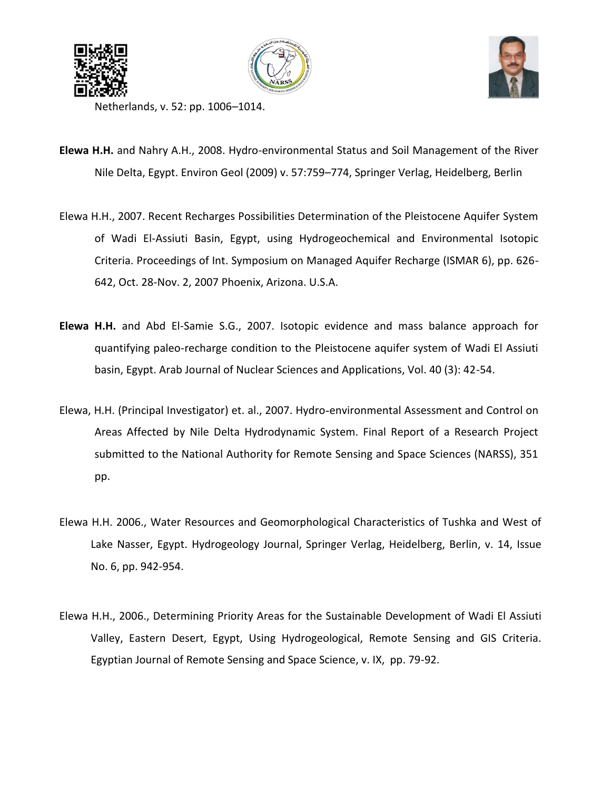





Netherlands, v. 52: pp. 1006–1014.

- **Elewa H.H.** and Nahry A.H., 2008. Hydro-environmental Status and Soil Management of the River Nile Delta, Egypt. Environ Geol (2009) v. 57:759–774, Springer Verlag, Heidelberg, Berlin
- Elewa H.H., 2007. Recent Recharges Possibilities Determination of the Pleistocene Aquifer System of Wadi El-Assiuti Basin, Egypt, using Hydrogeochemical and Environmental Isotopic Criteria. Proceedings of Int. Symposium on Managed Aquifer Recharge (ISMAR 6), pp. 626- 642, Oct. 28-Nov. 2, 2007 Phoenix, Arizona. U.S.A.
- **Elewa H.H.** and Abd El-Samie S.G., 2007. Isotopic evidence and mass balance approach for quantifying paleo-recharge condition to the Pleistocene aquifer system of Wadi El Assiuti basin, Egypt. Arab Journal of Nuclear Sciences and Applications, Vol. 40 (3): 42-54.
- Elewa, H.H. (Principal Investigator) et. al., 2007. Hydro-environmental Assessment and Control on Areas Affected by Nile Delta Hydrodynamic System. Final Report of a Research Project submitted to the National Authority for Remote Sensing and Space Sciences (NARSS), 351 pp.
- Elewa H.H. 2006., Water Resources and Geomorphological Characteristics of Tushka and West of Lake Nasser, Egypt. Hydrogeology Journal, Springer Verlag, Heidelberg, Berlin, v. 14, Issue No. 6, pp. 942-954.
- Elewa H.H., 2006., Determining Priority Areas for the Sustainable Development of Wadi El Assiuti Valley, Eastern Desert, Egypt, Using Hydrogeological, Remote Sensing and GIS Criteria. Egyptian Journal of Remote Sensing and Space Science, v. IX, pp. 79-92.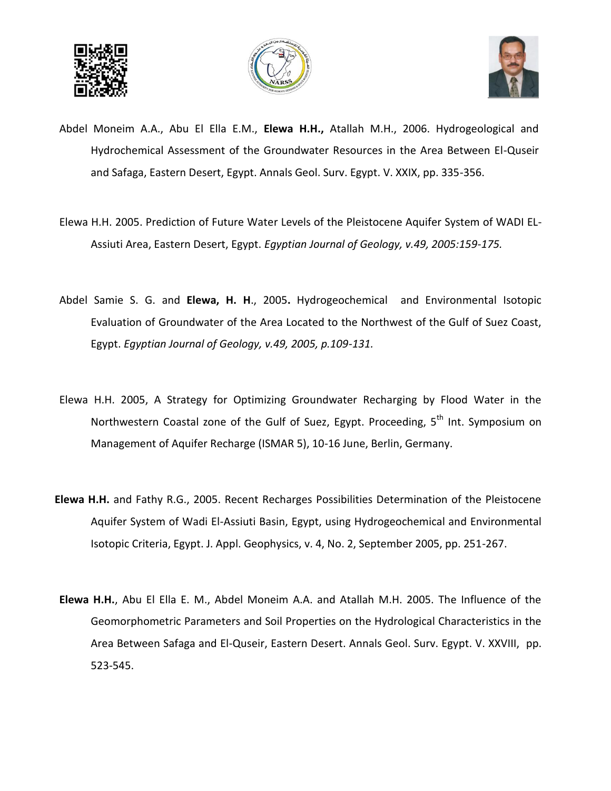





- Abdel Moneim A.A., Abu El Ella E.M., **Elewa H.H.,** Atallah M.H., 2006. Hydrogeological and Hydrochemical Assessment of the Groundwater Resources in the Area Between El-Quseir and Safaga, Eastern Desert, Egypt. Annals Geol. Surv. Egypt. V. XXIX, pp. 335-356.
- Elewa H.H. 2005. Prediction of Future Water Levels of the Pleistocene Aquifer System of WADI EL-Assiuti Area, Eastern Desert, Egypt. *Egyptian Journal of Geology, v.49, 2005:159-175.*
- Abdel Samie S. G. and **Elewa, H. H**., 2005**.** Hydrogeochemical and Environmental Isotopic Evaluation of Groundwater of the Area Located to the Northwest of the Gulf of Suez Coast, Egypt. *Egyptian Journal of Geology, v.49, 2005, p.109-131.*
- Elewa H.H. 2005, A Strategy for Optimizing Groundwater Recharging by Flood Water in the Northwestern Coastal zone of the Gulf of Suez, Egypt. Proceeding, 5<sup>th</sup> Int. Symposium on Management of Aquifer Recharge (ISMAR 5), 10-16 June, Berlin, Germany.
- **Elewa H.H.** and Fathy R.G., 2005. Recent Recharges Possibilities Determination of the Pleistocene Aquifer System of Wadi El-Assiuti Basin, Egypt, using Hydrogeochemical and Environmental Isotopic Criteria, Egypt. J. Appl. Geophysics, v. 4, No. 2, September 2005, pp. 251-267.
- **Elewa H.H.**, Abu El Ella E. M., Abdel Moneim A.A. and Atallah M.H. 2005. The Influence of the Geomorphometric Parameters and Soil Properties on the Hydrological Characteristics in the Area Between Safaga and El-Quseir, Eastern Desert. Annals Geol. Surv. Egypt. V. XXVIII, pp. 523-545.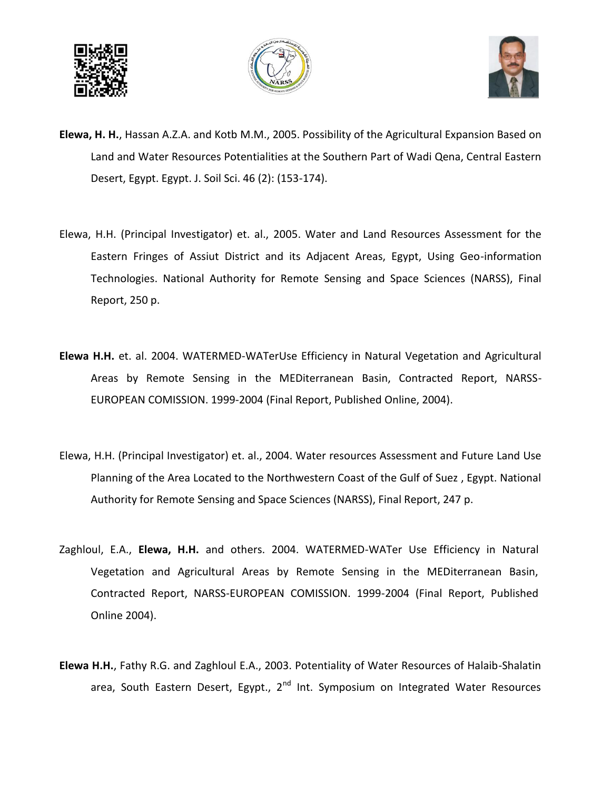





- **Elewa, H. H.**, Hassan A.Z.A. and Kotb M.M., 2005. Possibility of the Agricultural Expansion Based on Land and Water Resources Potentialities at the Southern Part of Wadi Qena, Central Eastern Desert, Egypt. Egypt. J. Soil Sci. 46 (2): (153-174).
- Elewa, H.H. (Principal Investigator) et. al., 2005. Water and Land Resources Assessment for the Eastern Fringes of Assiut District and its Adjacent Areas, Egypt, Using Geo-information Technologies. National Authority for Remote Sensing and Space Sciences (NARSS), Final Report, 250 p.
- **Elewa H.H.** et. al. 2004. WATERMED-WATerUse Efficiency in Natural Vegetation and Agricultural Areas by Remote Sensing in the MEDiterranean Basin, Contracted Report, NARSS-EUROPEAN COMISSION. 1999-2004 (Final Report, Published Online, 2004).
- Elewa, H.H. (Principal Investigator) et. al., 2004. Water resources Assessment and Future Land Use Planning of the Area Located to the Northwestern Coast of the Gulf of Suez , Egypt. National Authority for Remote Sensing and Space Sciences (NARSS), Final Report, 247 p.
- Zaghloul, E.A., **Elewa, H.H.** and others. 2004. WATERMED-WATer Use Efficiency in Natural Vegetation and Agricultural Areas by Remote Sensing in the MEDiterranean Basin, Contracted Report, NARSS-EUROPEAN COMISSION. 1999-2004 (Final Report, Published Online 2004).
- **Elewa H.H.**, Fathy R.G. and Zaghloul E.A., 2003. Potentiality of Water Resources of Halaib-Shalatin area, South Eastern Desert, Egypt.,  $2^{nd}$  Int. Symposium on Integrated Water Resources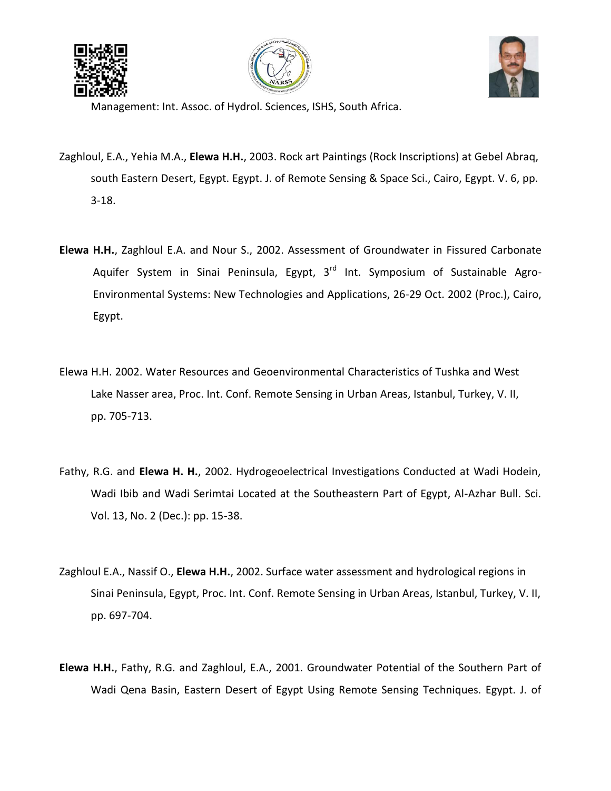





Management: Int. Assoc. of Hydrol. Sciences, ISHS, South Africa.

- Zaghloul, E.A., Yehia M.A., **Elewa H.H.**, 2003. Rock art Paintings (Rock Inscriptions) at Gebel Abraq, south Eastern Desert, Egypt. Egypt. J. of Remote Sensing & Space Sci., Cairo, Egypt. V. 6, pp. 3-18.
- **Elewa H.H.**, Zaghloul E.A. and Nour S., 2002. Assessment of Groundwater in Fissured Carbonate Aquifer System in Sinai Peninsula, Egypt,  $3<sup>rd</sup>$  Int. Symposium of Sustainable Agro-Environmental Systems: New Technologies and Applications, 26-29 Oct. 2002 (Proc.), Cairo, Egypt.
- Elewa H.H. 2002. Water Resources and Geoenvironmental Characteristics of Tushka and West Lake Nasser area, Proc. Int. Conf. Remote Sensing in Urban Areas, Istanbul, Turkey, V. II, pp. 705-713.
- Fathy, R.G. and **Elewa H. H.**, 2002. Hydrogeoelectrical Investigations Conducted at Wadi Hodein, Wadi Ibib and Wadi Serimtai Located at the Southeastern Part of Egypt, Al-Azhar Bull. Sci. Vol. 13, No. 2 (Dec.): pp. 15-38.
- Zaghloul E.A., Nassif O., **Elewa H.H.**, 2002. Surface water assessment and hydrological regions in Sinai Peninsula, Egypt, Proc. Int. Conf. Remote Sensing in Urban Areas, Istanbul, Turkey, V. II, pp. 697-704.
- **Elewa H.H.**, Fathy, R.G. and Zaghloul, E.A., 2001. Groundwater Potential of the Southern Part of Wadi Qena Basin, Eastern Desert of Egypt Using Remote Sensing Techniques. Egypt. J. of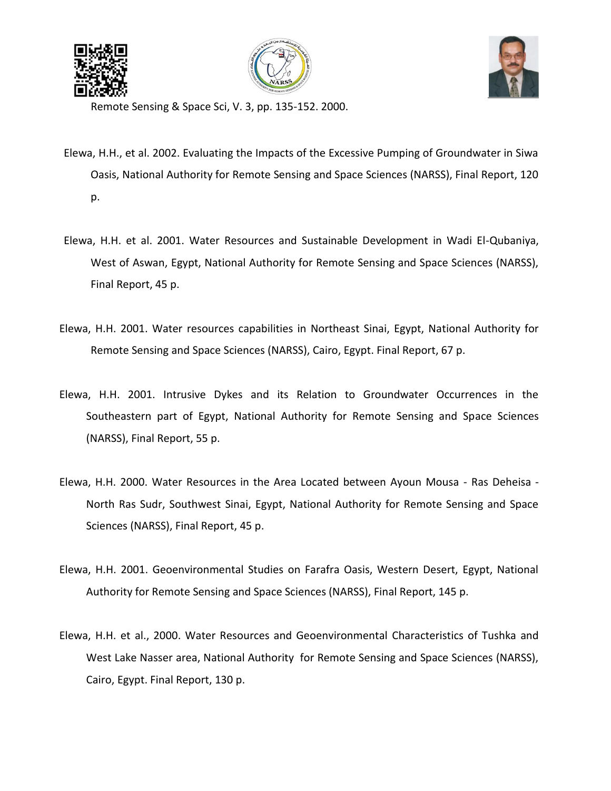





Remote Sensing & Space Sci, V. 3, pp. 135-152. 2000.

- Elewa, H.H., et al. 2002. Evaluating the Impacts of the Excessive Pumping of Groundwater in Siwa Oasis, National Authority for Remote Sensing and Space Sciences (NARSS), Final Report, 120 p.
- Elewa, H.H. et al. 2001. Water Resources and Sustainable Development in Wadi El-Qubaniya, West of Aswan, Egypt, National Authority for Remote Sensing and Space Sciences (NARSS), Final Report, 45 p.
- Elewa, H.H. 2001. Water resources capabilities in Northeast Sinai, Egypt, National Authority for Remote Sensing and Space Sciences (NARSS), Cairo, Egypt. Final Report, 67 p.
- Elewa, H.H. 2001. Intrusive Dykes and its Relation to Groundwater Occurrences in the Southeastern part of Egypt, National Authority for Remote Sensing and Space Sciences (NARSS), Final Report, 55 p.
- Elewa, H.H. 2000. Water Resources in the Area Located between Ayoun Mousa Ras Deheisa North Ras Sudr, Southwest Sinai, Egypt, National Authority for Remote Sensing and Space Sciences (NARSS), Final Report, 45 p.
- Elewa, H.H. 2001. Geoenvironmental Studies on Farafra Oasis, Western Desert, Egypt, National Authority for Remote Sensing and Space Sciences (NARSS), Final Report, 145 p.
- Elewa, H.H. et al., 2000. Water Resources and Geoenvironmental Characteristics of Tushka and West Lake Nasser area, National Authority for Remote Sensing and Space Sciences (NARSS), Cairo, Egypt. Final Report, 130 p.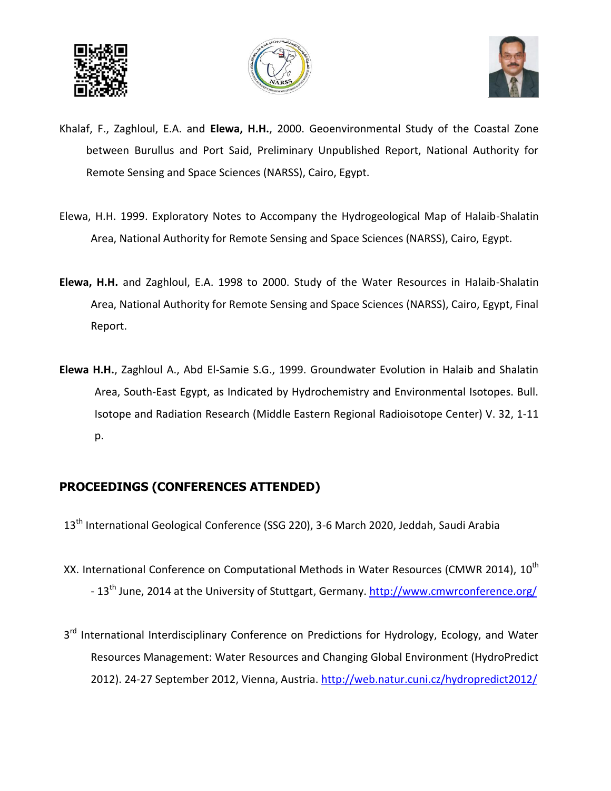





- Khalaf, F., Zaghloul, E.A. and **Elewa, H.H.**, 2000. Geoenvironmental Study of the Coastal Zone between Burullus and Port Said, Preliminary Unpublished Report, National Authority for Remote Sensing and Space Sciences (NARSS), Cairo, Egypt.
- Elewa, H.H. 1999. Exploratory Notes to Accompany the Hydrogeological Map of Halaib-Shalatin Area, National Authority for Remote Sensing and Space Sciences (NARSS), Cairo, Egypt.
- **Elewa, H.H.** and Zaghloul, E.A. 1998 to 2000. Study of the Water Resources in Halaib-Shalatin Area, National Authority for Remote Sensing and Space Sciences (NARSS), Cairo, Egypt, Final Report.
- **Elewa H.H.**, Zaghloul A., Abd El-Samie S.G., 1999. Groundwater Evolution in Halaib and Shalatin Area, South-East Egypt, as Indicated by Hydrochemistry and Environmental Isotopes. Bull. Isotope and Radiation Research (Middle Eastern Regional Radioisotope Center) V. 32, 1-11 p.

## **PROCEEDINGS (CONFERENCES ATTENDED)**

- 13<sup>th</sup> International Geological Conference (SSG 220), 3-6 March 2020, Jeddah, Saudi Arabia
- XX. International Conference on Computational Methods in Water Resources (CMWR 2014). 10<sup>th</sup> - 13<sup>th</sup> June, 2014 at the University of Stuttgart, Germany. <http://www.cmwrconference.org/>
- 3<sup>rd</sup> International Interdisciplinary Conference on Predictions for Hydrology, Ecology, and Water Resources Management: Water Resources and Changing Global Environment (HydroPredict 2012). 24-27 September 2012, Vienna, Austria.<http://web.natur.cuni.cz/hydropredict2012/>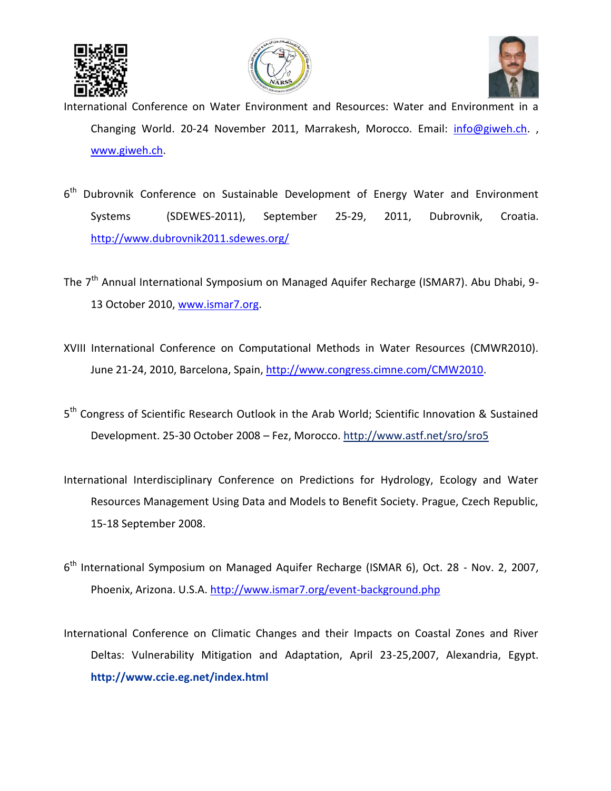





International Conference on Water Environment and Resources: Water and Environment in a Changing World. 20-24 November 2011, Marrakesh, Morocco. Email: [info@giweh.ch.](mailto:info@giweh.ch) , [www.giweh.ch.](http://www.giweh.ch/)

- 6<sup>th</sup> Dubrovnik Conference on Sustainable Development of Energy Water and Environment Systems (SDEWES-2011), September 25-29, 2011, Dubrovnik, Croatia. <http://www.dubrovnik2011.sdewes.org/>
- The 7<sup>th</sup> Annual International Symposium on Managed Aquifer Recharge (ISMAR7). Abu Dhabi, 9-13 October 2010, [www.ismar7.org.](http://www.ismar7.org/)
- XVIII International Conference on Computational Methods in Water Resources (CMWR2010). June 21-24, 2010, Barcelona, Spain[, http://www.congress.cimne.com/CMW2010.](http://www.congress.cimne.com/CMW2010)
- 5<sup>th</sup> Congress of Scientific Research Outlook in the Arab World; Scientific Innovation & Sustained Development. 25-30 October 2008 – Fez, Morocco[. http://www.astf.net/sro/sro5](http://www.astf.net/sro/sro5)
- International Interdisciplinary Conference on Predictions for Hydrology, Ecology and Water Resources Management Using Data and Models to Benefit Society. Prague, Czech Republic, 15-18 September 2008.
- 6<sup>th</sup> International Symposium on Managed Aquifer Recharge (ISMAR 6), Oct. 28 Nov. 2, 2007, Phoenix, Arizona. U.S.A[. http://www.ismar7.org/event-background.php](http://www.ismar7.org/event-background.php)
- International Conference on Climatic Changes and their Impacts on Coastal Zones and River Deltas: Vulnerability Mitigation and Adaptation, April 23-25,2007, Alexandria, Egypt. **<http://www.ccie.eg.net/index.html>**